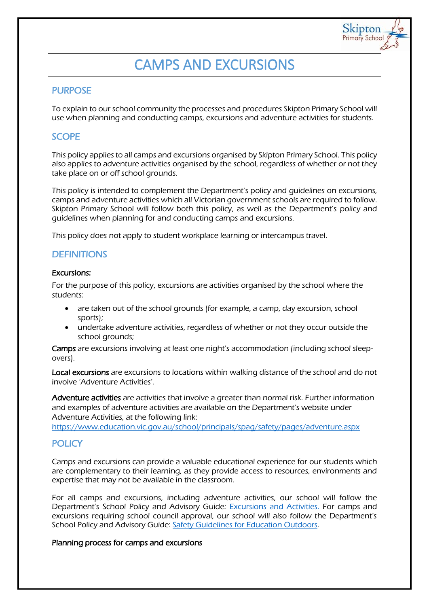# CAMPS AND EXCURSIONS

Skipton Primary Schoo

## **PURPOSE**

To explain to our school community the processes and procedures Skipton Primary School will use when planning and conducting camps, excursions and adventure activities for students.

## **SCOPE**

This policy applies to all camps and excursions organised by Skipton Primary School. This policy also applies to adventure activities organised by the school, regardless of whether or not they take place on or off school grounds.

This policy is intended to complement the Department's policy and guidelines on excursions, camps and adventure activities which all Victorian government schools are required to follow. Skipton Primary School will follow both this policy, as well as the Department's policy and guidelines when planning for and conducting camps and excursions.

This policy does not apply to student workplace learning or intercampus travel.

### **DEFINITIONS**

#### Excursions:

For the purpose of this policy, excursions are activities organised by the school where the students:

- are taken out of the school grounds (for example, a camp, day excursion, school sports);
- undertake adventure activities, regardless of whether or not they occur outside the school grounds;

Camps are excursions involving at least one night's accommodation (including school sleepovers).

Local excursions are excursions to locations within walking distance of the school and do not involve 'Adventure Activities'.

Adventure activities are activities that involve a greater than normal risk. Further information and examples of adventure activities are available on the Department's website under Adventure Activities, at the following link:

<https://www.education.vic.gov.au/school/principals/spag/safety/pages/adventure.aspx>

## POLICY

Camps and excursions can provide a valuable educational experience for our students which are complementary to their learning, as they provide access to resources, environments and expertise that may not be available in the classroom.

For all camps and excursions, including adventure activities, our school will follow the Department's School Policy and Advisory Guide: [Excursions and Activities.](http://www.education.vic.gov.au/school/principals/spag/safety/pages/excursions.aspx) For camps and excursions requiring school council approval, our school will also follow the Department's School Policy and Advisory Guide: [Safety Guidelines for Education Outdoors.](https://www.education.vic.gov.au/school/teachers/studentmanagement/excursions/Pages/outdoorguidelines.aspx)

#### Planning process for camps and excursions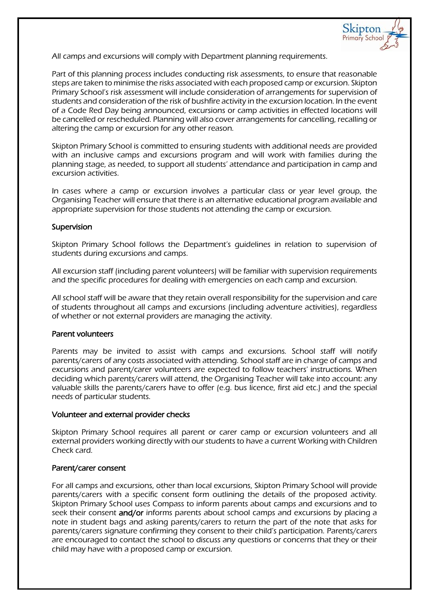

All camps and excursions will comply with Department planning requirements.

Part of this planning process includes conducting risk assessments, to ensure that reasonable steps are taken to minimise the risks associated with each proposed camp or excursion. Skipton Primary School's risk assessment will include consideration of arrangements for supervision of students and consideration of the risk of bushfire activity in the excursion location. In the event of a Code Red Day being announced, excursions or camp activities in effected locations will be cancelled or rescheduled. Planning will also cover arrangements for cancelling, recalling or altering the camp or excursion for any other reason.

Skipton Primary School is committed to ensuring students with additional needs are provided with an inclusive camps and excursions program and will work with families during the planning stage, as needed, to support all students' attendance and participation in camp and excursion activities.

In cases where a camp or excursion involves a particular class or year level group, the Organising Teacher will ensure that there is an alternative educational program available and appropriate supervision for those students not attending the camp or excursion.

#### Supervision

Skipton Primary School follows the Department's guidelines in relation to supervision of students during excursions and camps.

All excursion staff (including parent volunteers) will be familiar with supervision requirements and the specific procedures for dealing with emergencies on each camp and excursion.

All school staff will be aware that they retain overall responsibility for the supervision and care of students throughout all camps and excursions (including adventure activities), regardless of whether or not external providers are managing the activity.

#### Parent volunteers

Parents may be invited to assist with camps and excursions. School staff will notify parents/carers of any costs associated with attending. School staff are in charge of camps and excursions and parent/carer volunteers are expected to follow teachers' instructions. When deciding which parents/carers will attend, the Organising Teacher will take into account: any valuable skills the parents/carers have to offer (e.g. bus licence, first aid etc.) and the special needs of particular students.

#### Volunteer and external provider checks

Skipton Primary School requires all parent or carer camp or excursion volunteers and all external providers working directly with our students to have a current Working with Children Check card.

#### Parent/carer consent

For all camps and excursions, other than local excursions, Skipton Primary School will provide parents/carers with a specific consent form outlining the details of the proposed activity. Skipton Primary School uses Compass to inform parents about camps and excursions and to seek their consent and/or informs parents about school camps and excursions by placing a note in student bags and asking parents/carers to return the part of the note that asks for parents/carers signature confirming they consent to their child's participation. Parents/carers are encouraged to contact the school to discuss any questions or concerns that they or their child may have with a proposed camp or excursion.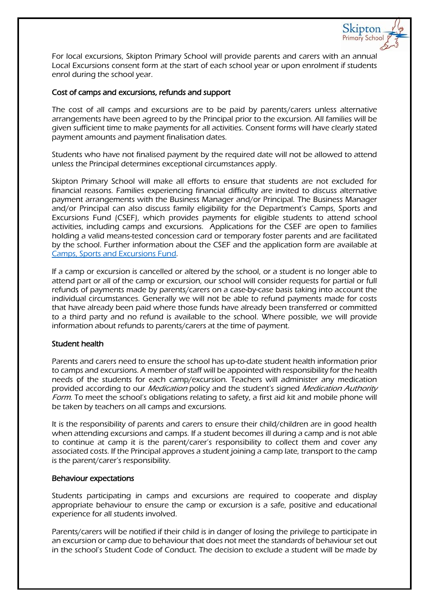

For local excursions, Skipton Primary School will provide parents and carers with an annual Local Excursions consent form at the start of each school year or upon enrolment if students enrol during the school year.

#### Cost of camps and excursions, refunds and support

The cost of all camps and excursions are to be paid by parents/carers unless alternative arrangements have been agreed to by the Principal prior to the excursion. All families will be given sufficient time to make payments for all activities. Consent forms will have clearly stated payment amounts and payment finalisation dates.

Students who have not finalised payment by the required date will not be allowed to attend unless the Principal determines exceptional circumstances apply.

Skipton Primary School will make all efforts to ensure that students are not excluded for financial reasons. Families experiencing financial difficulty are invited to discuss alternative payment arrangements with the Business Manager and/or Principal. The Business Manager and/or Principal can also discuss family eligibility for the Department's Camps, Sports and Excursions Fund (CSEF), which provides payments for eligible students to attend school activities, including camps and excursions. Applications for the CSEF are open to families holding a valid means-tested concession card or temporary foster parents and are facilitated by the school. Further information about the CSEF and the application form are available at [Camps, Sports and Excursions Fund.](http://www.education.vic.gov.au/about/programs/Pages/csef.aspx)

If a camp or excursion is cancelled or altered by the school, or a student is no longer able to attend part or all of the camp or excursion, our school will consider requests for partial or full refunds of payments made by parents/carers on a case-by-case basis taking into account the individual circumstances. Generally we will not be able to refund payments made for costs that have already been paid where those funds have already been transferred or committed to a third party and no refund is available to the school. Where possible, we will provide information about refunds to parents/carers at the time of payment.

#### Student health

Parents and carers need to ensure the school has up-to-date student health information prior to camps and excursions. A member of staff will be appointed with responsibility for the health needs of the students for each camp/excursion. Teachers will administer any medication provided according to our *Medication* policy and the student's signed *Medication Authority* Form. To meet the school's obligations relating to safety, a first aid kit and mobile phone will be taken by teachers on all camps and excursions.

It is the responsibility of parents and carers to ensure their child/children are in good health when attending excursions and camps. If a student becomes ill during a camp and is not able to continue at camp it is the parent/carer's responsibility to collect them and cover any associated costs. If the Principal approves a student joining a camp late, transport to the camp is the parent/carer's responsibility.

#### Behaviour expectations

Students participating in camps and excursions are required to cooperate and display appropriate behaviour to ensure the camp or excursion is a safe, positive and educational experience for all students involved.

Parents/carers will be notified if their child is in danger of losing the privilege to participate in an excursion or camp due to behaviour that does not meet the standards of behaviour set out in the school's Student Code of Conduct. The decision to exclude a student will be made by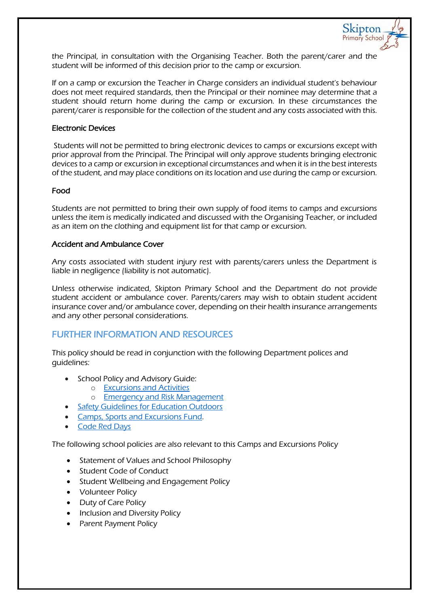the Principal, in consultation with the Organising Teacher. Both the parent/carer and the student will be informed of this decision prior to the camp or excursion.

Skipton Primary School

If on a camp or excursion the Teacher in Charge considers an individual student's behaviour does not meet required standards, then the Principal or their nominee may determine that a student should return home during the camp or excursion. In these circumstances the parent/carer is responsible for the collection of the student and any costs associated with this.

#### Electronic Devices

Students will not be permitted to bring electronic devices to camps or excursions except with prior approval from the Principal. The Principal will only approve students bringing electronic devices to a camp or excursion in exceptional circumstances and when it is in the best interests of the student, and may place conditions on its location and use during the camp or excursion.

#### Food

Students are not permitted to bring their own supply of food items to camps and excursions unless the item is medically indicated and discussed with the Organising Teacher, or included as an item on the clothing and equipment list for that camp or excursion.

#### Accident and Ambulance Cover

Any costs associated with student injury rest with parents/carers unless the Department is liable in negligence (liability is not automatic).

Unless otherwise indicated, Skipton Primary School and the Department do not provide student accident or ambulance cover. Parents/carers may wish to obtain student accident insurance cover and/or ambulance cover, depending on their health insurance arrangements and any other personal considerations.

## FURTHER INFORMATION AND RESOURCES

This policy should be read in conjunction with the following Department polices and guidelines:

- School Policy and Advisory Guide:
	- o [Excursions and Activities](http://www.education.vic.gov.au/school/principals/spag/safety/Pages/excursions.aspx)
		- o [Emergency and Risk Management](http://www.education.vic.gov.au/school/principals/spag/safety/Pages/excursionsafety.aspx)
- [Safety Guidelines for Education Outdoors](https://www.education.vic.gov.au/school/teachers/studentmanagement/excursions/Pages/outdoorguidelines.aspx)
- [Camps, Sports and Excursions Fund.](http://www.education.vic.gov.au/about/programs/Pages/csef.aspx)
- [Code Red Days](https://www.education.vic.gov.au/about/programs/health/Pages/coderedabout.aspx)

The following school policies are also relevant to this Camps and Excursions Policy

- Statement of Values and School Philosophy
- Student Code of Conduct
- Student Wellbeing and Engagement Policy
- Volunteer Policy
- Duty of Care Policy
- Inclusion and Diversity Policy
- Parent Payment Policy